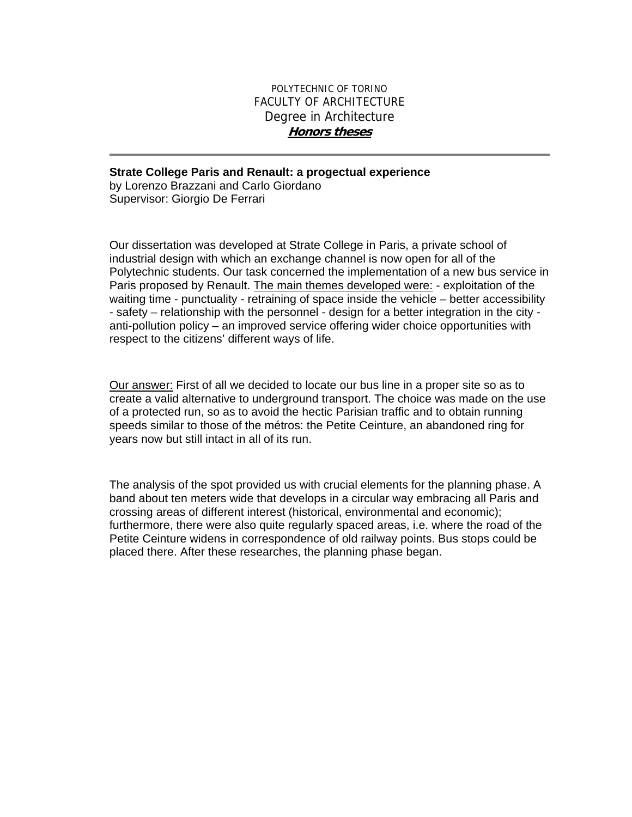## POLYTECHNIC OF TORINO FACULTY OF ARCHITECTURE Degree in Architecture **Honors theses**

## **Strate College Paris and Renault: a progectual experience**

by Lorenzo Brazzani and Carlo Giordano Supervisor: Giorgio De Ferrari

Our dissertation was developed at Strate College in Paris, a private school of industrial design with which an exchange channel is now open for all of the Polytechnic students. Our task concerned the implementation of a new bus service in Paris proposed by Renault. The main themes developed were: - exploitation of the waiting time - punctuality - retraining of space inside the vehicle – better accessibility - safety – relationship with the personnel - design for a better integration in the city anti-pollution policy – an improved service offering wider choice opportunities with respect to the citizens' different ways of life.

Our answer: First of all we decided to locate our bus line in a proper site so as to create a valid alternative to underground transport. The choice was made on the use of a protected run, so as to avoid the hectic Parisian traffic and to obtain running speeds similar to those of the métros: the Petite Ceinture, an abandoned ring for years now but still intact in all of its run.

The analysis of the spot provided us with crucial elements for the planning phase. A band about ten meters wide that develops in a circular way embracing all Paris and crossing areas of different interest (historical, environmental and economic); furthermore, there were also quite regularly spaced areas, i.e. where the road of the Petite Ceinture widens in correspondence of old railway points. Bus stops could be placed there. After these researches, the planning phase began.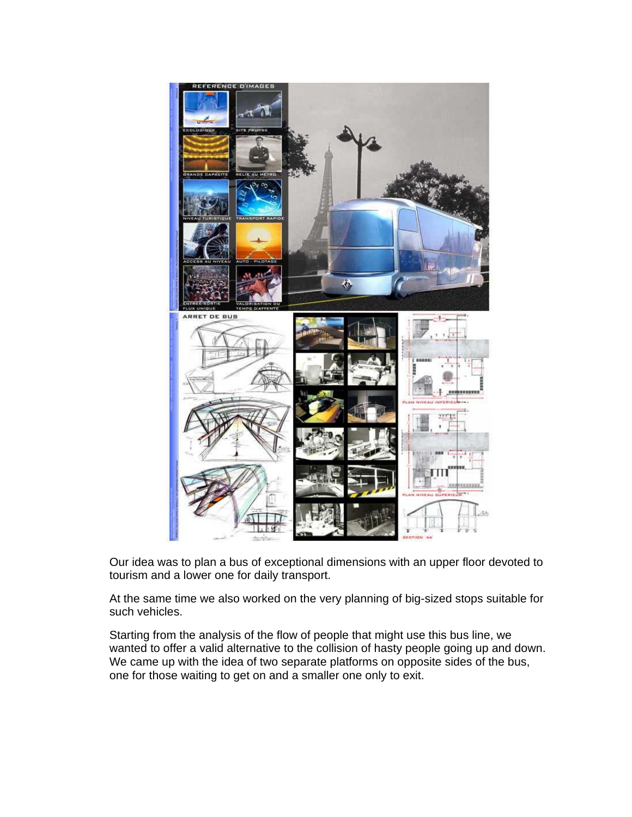

Our idea was to plan a bus of exceptional dimensions with an upper floor devoted to tourism and a lower one for daily transport.

At the same time we also worked on the very planning of big-sized stops suitable for such vehicles.

Starting from the analysis of the flow of people that might use this bus line, we wanted to offer a valid alternative to the collision of hasty people going up and down. We came up with the idea of two separate platforms on opposite sides of the bus, one for those waiting to get on and a smaller one only to exit.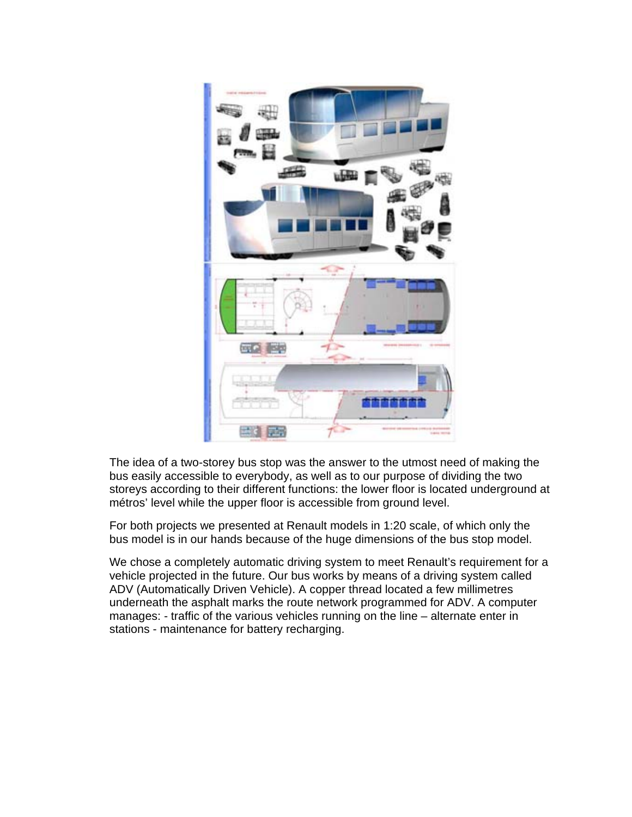

The idea of a two-storey bus stop was the answer to the utmost need of making the bus easily accessible to everybody, as well as to our purpose of dividing the two storeys according to their different functions: the lower floor is located underground at métros' level while the upper floor is accessible from ground level.

For both projects we presented at Renault models in 1:20 scale, of which only the bus model is in our hands because of the huge dimensions of the bus stop model.

We chose a completely automatic driving system to meet Renault's requirement for a vehicle projected in the future. Our bus works by means of a driving system called ADV (Automatically Driven Vehicle). A copper thread located a few millimetres underneath the asphalt marks the route network programmed for ADV. A computer manages: - traffic of the various vehicles running on the line – alternate enter in stations - maintenance for battery recharging.